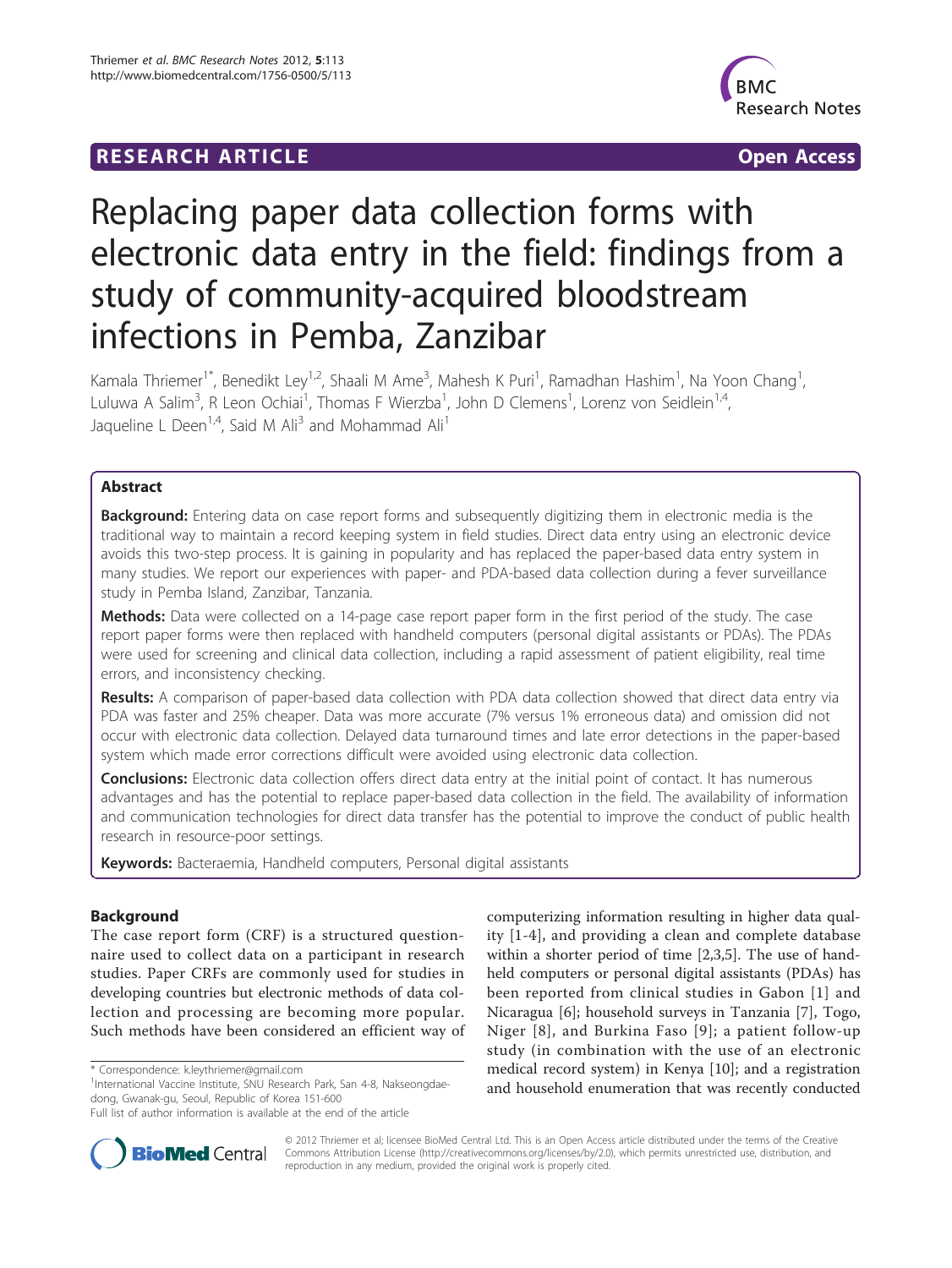# **RESEARCH ARTICLE EXECUTE: CONSIDERING ACCESS**



# Replacing paper data collection forms with electronic data entry in the field: findings from a study of community-acquired bloodstream infections in Pemba, Zanzibar

Kamala Thriemer<sup>1\*</sup>, Benedikt Ley<sup>1,2</sup>, Shaali M Ame<sup>3</sup>, Mahesh K Puri<sup>1</sup>, Ramadhan Hashim<sup>1</sup>, Na Yoon Chang<sup>1</sup> , Luluwa A Salim<sup>3</sup>, R Leon Ochiai<sup>1</sup>, Thomas F Wierzba<sup>1</sup>, John D Clemens<sup>1</sup>, Lorenz von Seidlein<sup>1,4</sup>, Jaqueline L Deen<sup>1,4</sup>, Said M Ali<sup>3</sup> and Mohammad Ali<sup>1</sup>

# Abstract

**Background:** Entering data on case report forms and subsequently digitizing them in electronic media is the traditional way to maintain a record keeping system in field studies. Direct data entry using an electronic device avoids this two-step process. It is gaining in popularity and has replaced the paper-based data entry system in many studies. We report our experiences with paper- and PDA-based data collection during a fever surveillance study in Pemba Island, Zanzibar, Tanzania.

Methods: Data were collected on a 14-page case report paper form in the first period of the study. The case report paper forms were then replaced with handheld computers (personal digital assistants or PDAs). The PDAs were used for screening and clinical data collection, including a rapid assessment of patient eligibility, real time errors, and inconsistency checking.

Results: A comparison of paper-based data collection with PDA data collection showed that direct data entry via PDA was faster and 25% cheaper. Data was more accurate (7% versus 1% erroneous data) and omission did not occur with electronic data collection. Delayed data turnaround times and late error detections in the paper-based system which made error corrections difficult were avoided using electronic data collection.

Conclusions: Electronic data collection offers direct data entry at the initial point of contact. It has numerous advantages and has the potential to replace paper-based data collection in the field. The availability of information and communication technologies for direct data transfer has the potential to improve the conduct of public health research in resource-poor settings.

Keywords: Bacteraemia, Handheld computers, Personal digital assistants

# Background

The case report form (CRF) is a structured questionnaire used to collect data on a participant in research studies. Paper CRFs are commonly used for studies in developing countries but electronic methods of data collection and processing are becoming more popular. Such methods have been considered an efficient way of

<sup>1</sup>International Vaccine Institute, SNU Research Park, San 4-8, Nakseongdaedong, Gwanak-gu, Seoul, Republic of Korea 151-600

computerizing information resulting in higher data quality [[1](#page-6-0)-[4](#page-6-0)], and providing a clean and complete database within a shorter period of time [\[2](#page-6-0),[3](#page-6-0),[5](#page-6-0)]. The use of handheld computers or personal digital assistants (PDAs) has been reported from clinical studies in Gabon [[1\]](#page-6-0) and Nicaragua [[6\]](#page-6-0); household surveys in Tanzania [\[7](#page-6-0)], Togo, Niger [[8](#page-6-0)], and Burkina Faso [[9](#page-6-0)]; a patient follow-up study (in combination with the use of an electronic medical record system) in Kenya [\[10\]](#page-6-0); and a registration and household enumeration that was recently conducted



© 2012 Thriemer et al; licensee BioMed Central Ltd. This is an Open Access article distributed under the terms of the Creative Commons Attribution License [\(http://creativecommons.org/licenses/by/2.0](http://creativecommons.org/licenses/by/2.0)), which permits unrestricted use, distribution, and reproduction in any medium, provided the original work is properly cited.

<sup>\*</sup> Correspondence: [k.leythriemer@gmail.com](mailto:k.leythriemer@gmail.com)

Full list of author information is available at the end of the article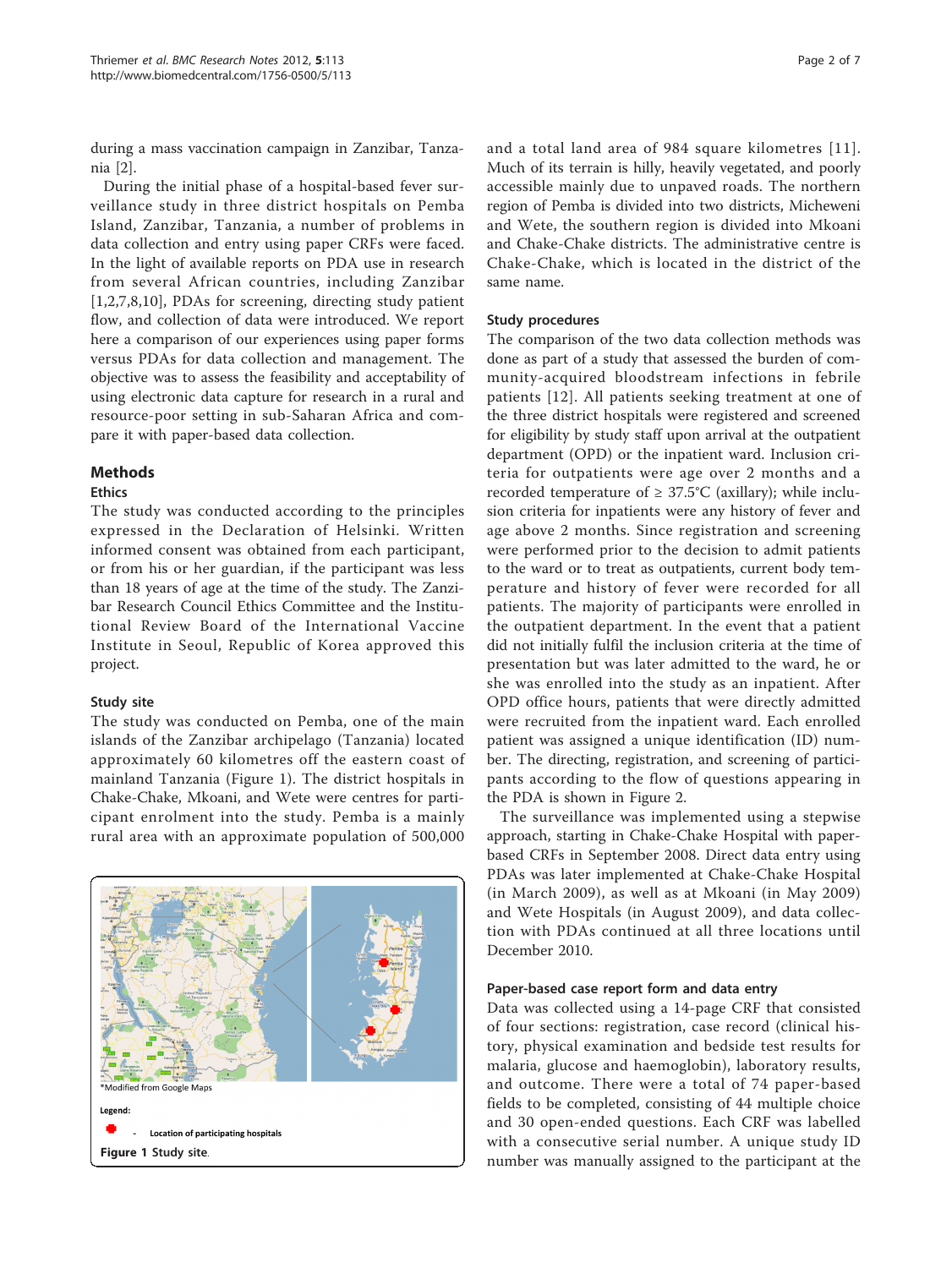during a mass vaccination campaign in Zanzibar, Tanzania [\[2](#page-6-0)].

During the initial phase of a hospital-based fever surveillance study in three district hospitals on Pemba Island, Zanzibar, Tanzania, a number of problems in data collection and entry using paper CRFs were faced. In the light of available reports on PDA use in research from several African countries, including Zanzibar [[1,2,7](#page-6-0),[8,10\]](#page-6-0), PDAs for screening, directing study patient flow, and collection of data were introduced. We report here a comparison of our experiences using paper forms versus PDAs for data collection and management. The objective was to assess the feasibility and acceptability of using electronic data capture for research in a rural and resource-poor setting in sub-Saharan Africa and compare it with paper-based data collection.

# Methods

# **Ethics**

The study was conducted according to the principles expressed in the Declaration of Helsinki. Written informed consent was obtained from each participant, or from his or her guardian, if the participant was less than 18 years of age at the time of the study. The Zanzibar Research Council Ethics Committee and the Institutional Review Board of the International Vaccine Institute in Seoul, Republic of Korea approved this project.

# Study site

The study was conducted on Pemba, one of the main islands of the Zanzibar archipelago (Tanzania) located approximately 60 kilometres off the eastern coast of mainland Tanzania (Figure 1). The district hospitals in Chake-Chake, Mkoani, and Wete were centres for participant enrolment into the study. Pemba is a mainly rural area with an approximate population of 500,000



and a total land area of 984 square kilometres [[11\]](#page-6-0). Much of its terrain is hilly, heavily vegetated, and poorly accessible mainly due to unpaved roads. The northern region of Pemba is divided into two districts, Micheweni and Wete, the southern region is divided into Mkoani and Chake-Chake districts. The administrative centre is Chake-Chake, which is located in the district of the same name.

# Study procedures

The comparison of the two data collection methods was done as part of a study that assessed the burden of community-acquired bloodstream infections in febrile patients [[12\]](#page-6-0). All patients seeking treatment at one of the three district hospitals were registered and screened for eligibility by study staff upon arrival at the outpatient department (OPD) or the inpatient ward. Inclusion criteria for outpatients were age over 2 months and a recorded temperature of  $\geq 37.5^{\circ}$ C (axillary); while inclusion criteria for inpatients were any history of fever and age above 2 months. Since registration and screening were performed prior to the decision to admit patients to the ward or to treat as outpatients, current body temperature and history of fever were recorded for all patients. The majority of participants were enrolled in the outpatient department. In the event that a patient did not initially fulfil the inclusion criteria at the time of presentation but was later admitted to the ward, he or she was enrolled into the study as an inpatient. After OPD office hours, patients that were directly admitted were recruited from the inpatient ward. Each enrolled patient was assigned a unique identification (ID) number. The directing, registration, and screening of participants according to the flow of questions appearing in the PDA is shown in Figure [2.](#page-2-0)

The surveillance was implemented using a stepwise approach, starting in Chake-Chake Hospital with paperbased CRFs in September 2008. Direct data entry using PDAs was later implemented at Chake-Chake Hospital (in March 2009), as well as at Mkoani (in May 2009) and Wete Hospitals (in August 2009), and data collection with PDAs continued at all three locations until December 2010.

#### Paper-based case report form and data entry

Data was collected using a 14-page CRF that consisted of four sections: registration, case record (clinical history, physical examination and bedside test results for malaria, glucose and haemoglobin), laboratory results, and outcome. There were a total of 74 paper-based fields to be completed, consisting of 44 multiple choice and 30 open-ended questions. Each CRF was labelled with a consecutive serial number. A unique study ID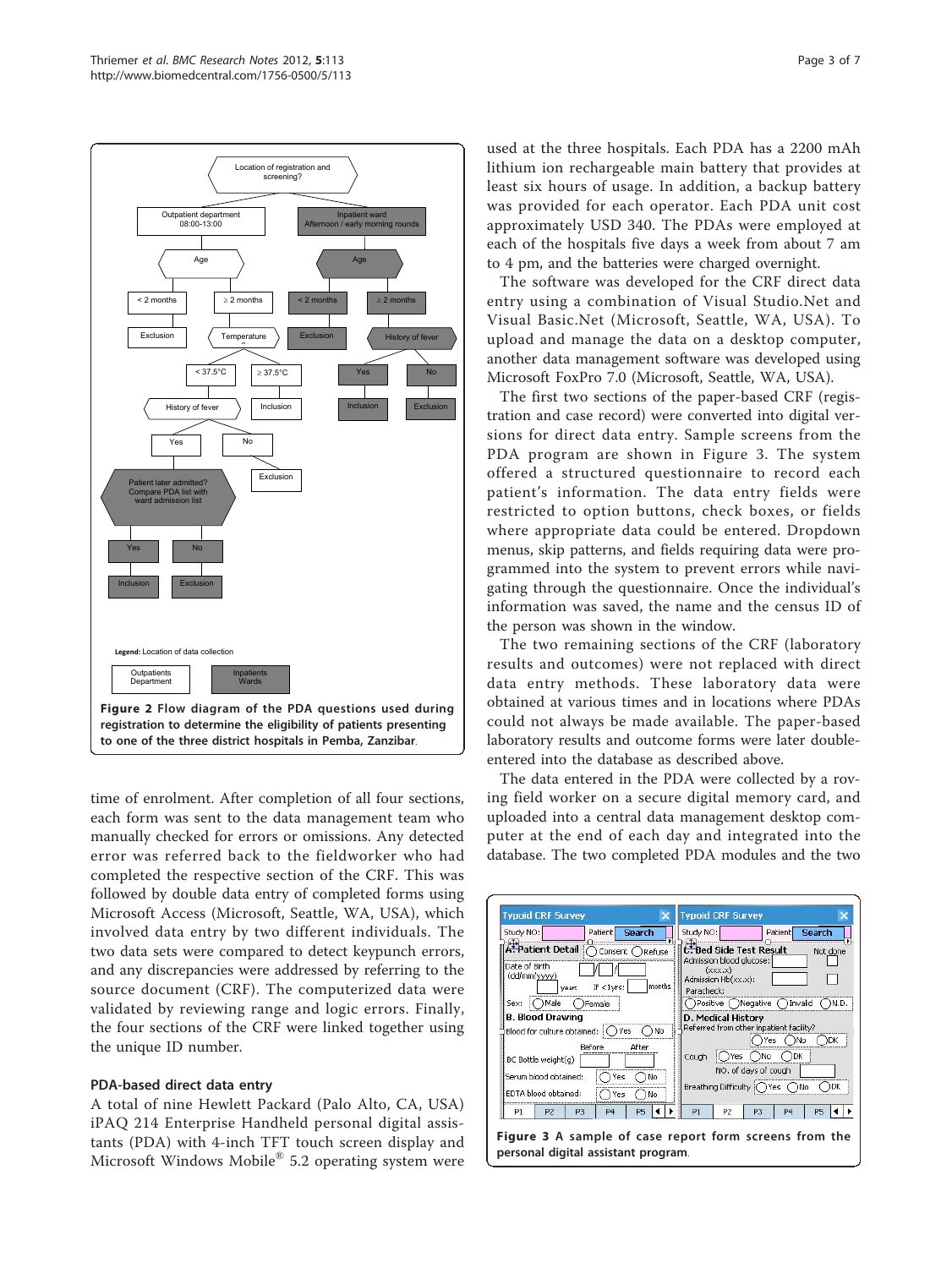

<span id="page-2-0"></span>

time of enrolment. After completion of all four sections, each form was sent to the data management team who manually checked for errors or omissions. Any detected error was referred back to the fieldworker who had completed the respective section of the CRF. This was followed by double data entry of completed forms using Microsoft Access (Microsoft, Seattle, WA, USA), which involved data entry by two different individuals. The two data sets were compared to detect keypunch errors, and any discrepancies were addressed by referring to the source document (CRF). The computerized data were validated by reviewing range and logic errors. Finally, the four sections of the CRF were linked together using the unique ID number.

# PDA-based direct data entry

A total of nine Hewlett Packard (Palo Alto, CA, USA) iPAQ 214 Enterprise Handheld personal digital assistants (PDA) with 4-inch TFT touch screen display and Microsoft Windows Mobile® 5.2 operating system were

used at the three hospitals. Each PDA has a 2200 mAh lithium ion rechargeable main battery that provides at least six hours of usage. In addition, a backup battery was provided for each operator. Each PDA unit cost approximately USD 340. The PDAs were employed at each of the hospitals five days a week from about 7 am to 4 pm, and the batteries were charged overnight.

The software was developed for the CRF direct data entry using a combination of Visual Studio.Net and Visual Basic.Net (Microsoft, Seattle, WA, USA). To upload and manage the data on a desktop computer, another data management software was developed using Microsoft FoxPro 7.0 (Microsoft, Seattle, WA, USA).

The first two sections of the paper-based CRF (registration and case record) were converted into digital versions for direct data entry. Sample screens from the PDA program are shown in Figure 3. The system offered a structured questionnaire to record each patient's information. The data entry fields were restricted to option buttons, check boxes, or fields where appropriate data could be entered. Dropdown menus, skip patterns, and fields requiring data were programmed into the system to prevent errors while navigating through the questionnaire. Once the individual's information was saved, the name and the census ID of the person was shown in the window.

The two remaining sections of the CRF (laboratory results and outcomes) were not replaced with direct data entry methods. These laboratory data were obtained at various times and in locations where PDAs could not always be made available. The paper-based laboratory results and outcome forms were later doubleentered into the database as described above.

The data entered in the PDA were collected by a roving field worker on a secure digital memory card, and uploaded into a central data management desktop computer at the end of each day and integrated into the database. The two completed PDA modules and the two

| Study NO:                                                                                                                                                                                                                                          | Patient                          | Search                                        | Study NO:                                                                                                                                                                 |                |                                       | Patient        | Search                                                                                                                                     |
|----------------------------------------------------------------------------------------------------------------------------------------------------------------------------------------------------------------------------------------------------|----------------------------------|-----------------------------------------------|---------------------------------------------------------------------------------------------------------------------------------------------------------------------------|----------------|---------------------------------------|----------------|--------------------------------------------------------------------------------------------------------------------------------------------|
| A: Patient Detail   Consent ORefuse<br>Date of Birth<br>(dd/mm/yyyy)<br>vears<br>Sex:   ∩Male ∩Female<br><b>B. Blood Drawing</b><br>Blood for culture obtained: O Yes O No<br>BC Bottle weight(q)<br>Serum blood obtained:<br>EDTA blood obtained: | If $<1$ yrs:<br>Before           | months<br>After<br>( )No<br>Yes<br>∩No<br>Yes | <b>C. Bed Side Test Result</b><br>Admission blood alucose:<br>Admission Hb(xx.x):<br>Paracheck:<br>D. Medical History<br>Referred from other inpatient facility?<br>Cough | (xxx,x)        | I∩Yes ∩No ∩DK<br>NO. of days of cough |                | Not done<br>◯Positive ( )Negative ( )Invalid ( )N.D.<br>$\bigcap$ Yes $\bigcap$ No $\bigcap$ DK<br>Breathing Difficulty ( )Yes ( )No ( )DK |
| P <sub>1</sub><br>P <sub>2</sub>                                                                                                                                                                                                                   | P <sub>3</sub><br>P <sub>4</sub> | P <sub>5</sub>                                | P <sub>1</sub>                                                                                                                                                            | P <sub>2</sub> | P <sub>3</sub>                        | P <sub>4</sub> | P <sub>5</sub>                                                                                                                             |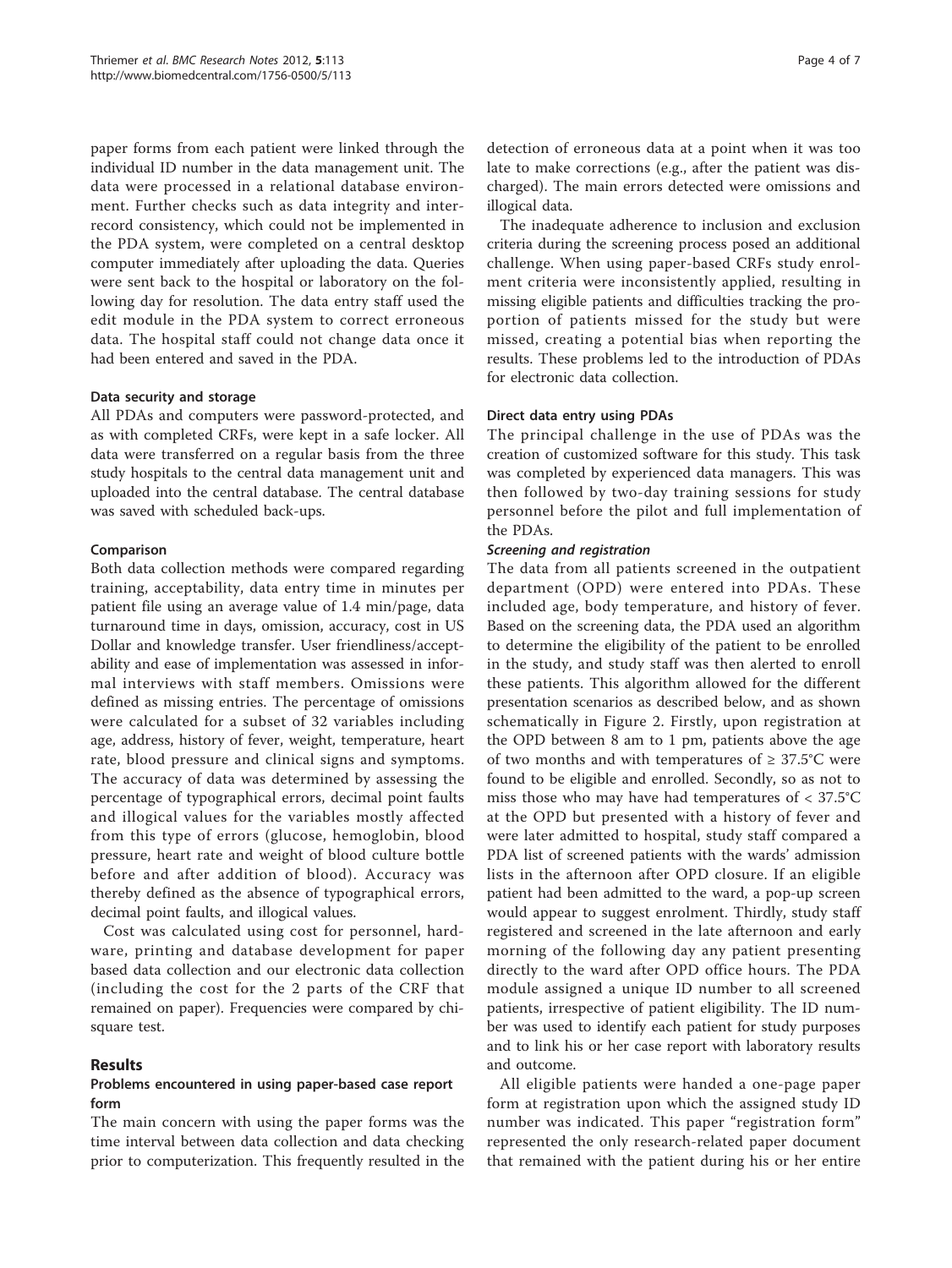paper forms from each patient were linked through the individual ID number in the data management unit. The data were processed in a relational database environment. Further checks such as data integrity and interrecord consistency, which could not be implemented in the PDA system, were completed on a central desktop computer immediately after uploading the data. Queries were sent back to the hospital or laboratory on the following day for resolution. The data entry staff used the edit module in the PDA system to correct erroneous data. The hospital staff could not change data once it had been entered and saved in the PDA.

# Data security and storage

All PDAs and computers were password-protected, and as with completed CRFs, were kept in a safe locker. All data were transferred on a regular basis from the three study hospitals to the central data management unit and uploaded into the central database. The central database was saved with scheduled back-ups.

# Comparison

Both data collection methods were compared regarding training, acceptability, data entry time in minutes per patient file using an average value of 1.4 min/page, data turnaround time in days, omission, accuracy, cost in US Dollar and knowledge transfer. User friendliness/acceptability and ease of implementation was assessed in informal interviews with staff members. Omissions were defined as missing entries. The percentage of omissions were calculated for a subset of 32 variables including age, address, history of fever, weight, temperature, heart rate, blood pressure and clinical signs and symptoms. The accuracy of data was determined by assessing the percentage of typographical errors, decimal point faults and illogical values for the variables mostly affected from this type of errors (glucose, hemoglobin, blood pressure, heart rate and weight of blood culture bottle before and after addition of blood). Accuracy was thereby defined as the absence of typographical errors, decimal point faults, and illogical values.

Cost was calculated using cost for personnel, hardware, printing and database development for paper based data collection and our electronic data collection (including the cost for the 2 parts of the CRF that remained on paper). Frequencies were compared by chisquare test.

# Results

# Problems encountered in using paper-based case report form

The main concern with using the paper forms was the time interval between data collection and data checking prior to computerization. This frequently resulted in the

detection of erroneous data at a point when it was too late to make corrections (e.g., after the patient was discharged). The main errors detected were omissions and illogical data.

The inadequate adherence to inclusion and exclusion criteria during the screening process posed an additional challenge. When using paper-based CRFs study enrolment criteria were inconsistently applied, resulting in missing eligible patients and difficulties tracking the proportion of patients missed for the study but were missed, creating a potential bias when reporting the results. These problems led to the introduction of PDAs for electronic data collection.

#### Direct data entry using PDAs

The principal challenge in the use of PDAs was the creation of customized software for this study. This task was completed by experienced data managers. This was then followed by two-day training sessions for study personnel before the pilot and full implementation of the PDAs.

#### Screening and registration

The data from all patients screened in the outpatient department (OPD) were entered into PDAs. These included age, body temperature, and history of fever. Based on the screening data, the PDA used an algorithm to determine the eligibility of the patient to be enrolled in the study, and study staff was then alerted to enroll these patients. This algorithm allowed for the different presentation scenarios as described below, and as shown schematically in Figure [2.](#page-2-0) Firstly, upon registration at the OPD between 8 am to 1 pm, patients above the age of two months and with temperatures of  $\geq 37.5^{\circ}$ C were found to be eligible and enrolled. Secondly, so as not to miss those who may have had temperatures of  $< 37.5^{\circ}$ C at the OPD but presented with a history of fever and were later admitted to hospital, study staff compared a PDA list of screened patients with the wards' admission lists in the afternoon after OPD closure. If an eligible patient had been admitted to the ward, a pop-up screen would appear to suggest enrolment. Thirdly, study staff registered and screened in the late afternoon and early morning of the following day any patient presenting directly to the ward after OPD office hours. The PDA module assigned a unique ID number to all screened patients, irrespective of patient eligibility. The ID number was used to identify each patient for study purposes and to link his or her case report with laboratory results and outcome.

All eligible patients were handed a one-page paper form at registration upon which the assigned study ID number was indicated. This paper "registration form" represented the only research-related paper document that remained with the patient during his or her entire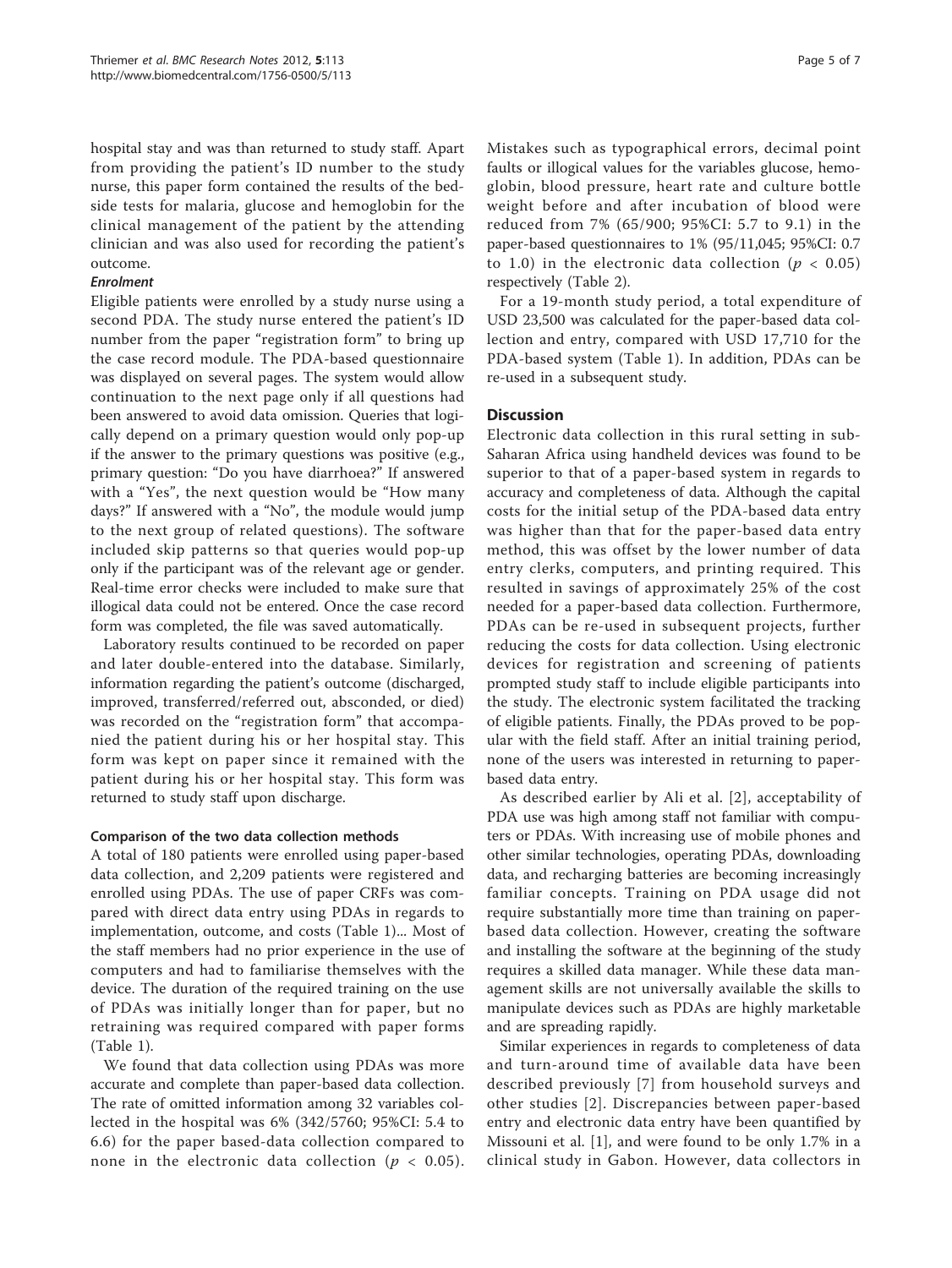hospital stay and was than returned to study staff. Apart from providing the patient's ID number to the study nurse, this paper form contained the results of the bedside tests for malaria, glucose and hemoglobin for the clinical management of the patient by the attending clinician and was also used for recording the patient's outcome.

# Enrolment

Eligible patients were enrolled by a study nurse using a second PDA. The study nurse entered the patient's ID number from the paper "registration form" to bring up the case record module. The PDA-based questionnaire was displayed on several pages. The system would allow continuation to the next page only if all questions had been answered to avoid data omission. Queries that logically depend on a primary question would only pop-up if the answer to the primary questions was positive (e.g., primary question: "Do you have diarrhoea?" If answered with a "Yes", the next question would be "How many days?" If answered with a "No", the module would jump to the next group of related questions). The software included skip patterns so that queries would pop-up only if the participant was of the relevant age or gender. Real-time error checks were included to make sure that illogical data could not be entered. Once the case record form was completed, the file was saved automatically.

Laboratory results continued to be recorded on paper and later double-entered into the database. Similarly, information regarding the patient's outcome (discharged, improved, transferred/referred out, absconded, or died) was recorded on the "registration form" that accompanied the patient during his or her hospital stay. This form was kept on paper since it remained with the patient during his or her hospital stay. This form was returned to study staff upon discharge.

#### Comparison of the two data collection methods

A total of 180 patients were enrolled using paper-based data collection, and 2,209 patients were registered and enrolled using PDAs. The use of paper CRFs was compared with direct data entry using PDAs in regards to implementation, outcome, and costs (Table [1\)](#page-5-0)... Most of the staff members had no prior experience in the use of computers and had to familiarise themselves with the device. The duration of the required training on the use of PDAs was initially longer than for paper, but no retraining was required compared with paper forms (Table [1\)](#page-5-0).

We found that data collection using PDAs was more accurate and complete than paper-based data collection. The rate of omitted information among 32 variables collected in the hospital was 6% (342/5760; 95%CI: 5.4 to 6.6) for the paper based-data collection compared to none in the electronic data collection ( $p < 0.05$ ). Mistakes such as typographical errors, decimal point faults or illogical values for the variables glucose, hemoglobin, blood pressure, heart rate and culture bottle weight before and after incubation of blood were reduced from 7% (65/900; 95%CI: 5.7 to 9.1) in the paper-based questionnaires to 1% (95/11,045; 95%CI: 0.7 to 1.0) in the electronic data collection ( $p < 0.05$ ) respectively (Table [2](#page-5-0)).

For a 19-month study period, a total expenditure of USD 23,500 was calculated for the paper-based data collection and entry, compared with USD 17,710 for the PDA-based system (Table [1](#page-5-0)). In addition, PDAs can be re-used in a subsequent study.

# **Discussion**

Electronic data collection in this rural setting in sub-Saharan Africa using handheld devices was found to be superior to that of a paper-based system in regards to accuracy and completeness of data. Although the capital costs for the initial setup of the PDA-based data entry was higher than that for the paper-based data entry method, this was offset by the lower number of data entry clerks, computers, and printing required. This resulted in savings of approximately 25% of the cost needed for a paper-based data collection. Furthermore, PDAs can be re-used in subsequent projects, further reducing the costs for data collection. Using electronic devices for registration and screening of patients prompted study staff to include eligible participants into the study. The electronic system facilitated the tracking of eligible patients. Finally, the PDAs proved to be popular with the field staff. After an initial training period, none of the users was interested in returning to paperbased data entry.

As described earlier by Ali et al. [\[2](#page-6-0)], acceptability of PDA use was high among staff not familiar with computers or PDAs. With increasing use of mobile phones and other similar technologies, operating PDAs, downloading data, and recharging batteries are becoming increasingly familiar concepts. Training on PDA usage did not require substantially more time than training on paperbased data collection. However, creating the software and installing the software at the beginning of the study requires a skilled data manager. While these data management skills are not universally available the skills to manipulate devices such as PDAs are highly marketable and are spreading rapidly.

Similar experiences in regards to completeness of data and turn-around time of available data have been described previously [[7\]](#page-6-0) from household surveys and other studies [[2\]](#page-6-0). Discrepancies between paper-based entry and electronic data entry have been quantified by Missouni et al. [[1\]](#page-6-0), and were found to be only 1.7% in a clinical study in Gabon. However, data collectors in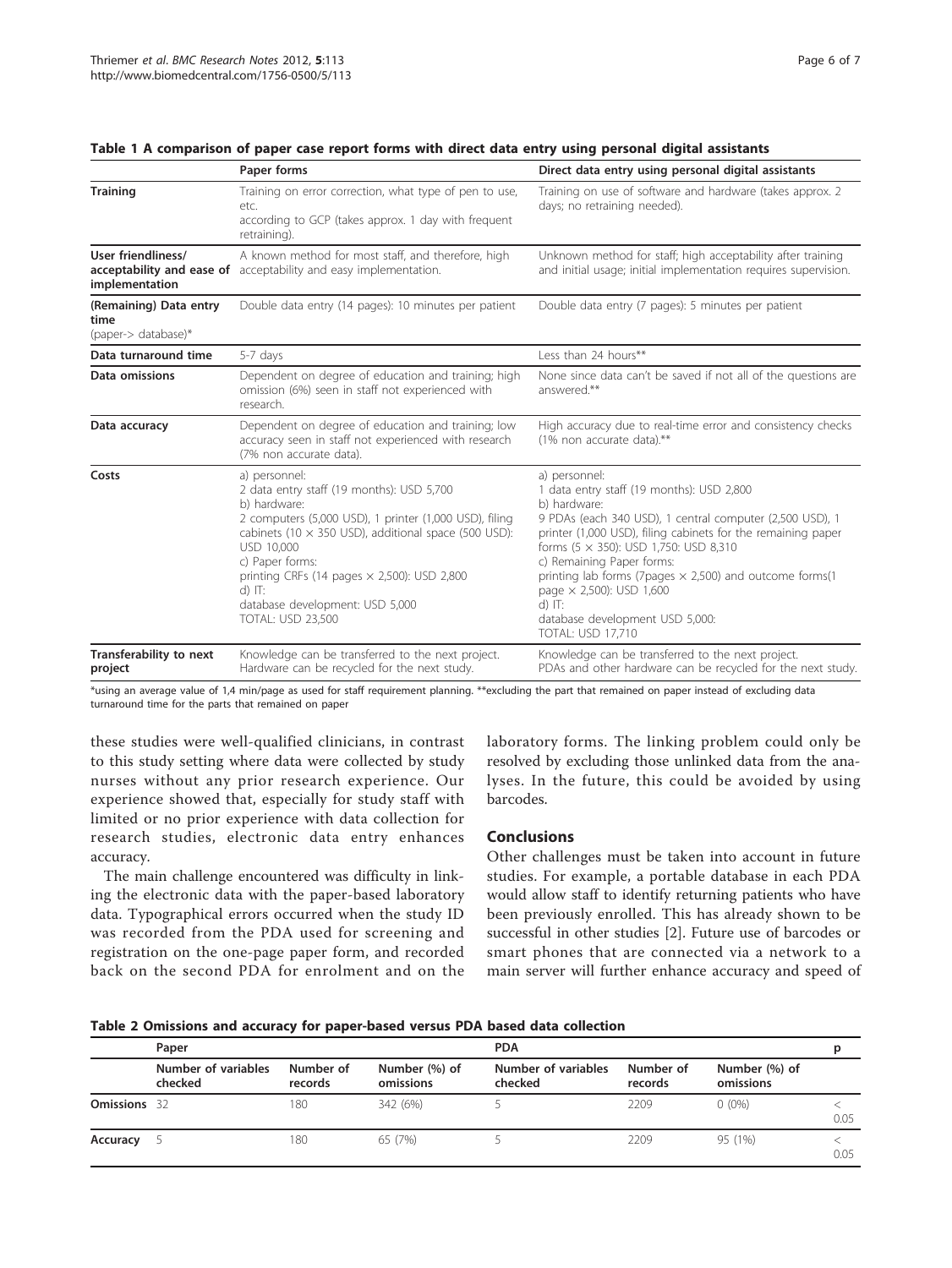|                                                       | Paper forms                                                                                                                                                                                                                                                                                                                                                           | Direct data entry using personal digital assistants                                                                                                                                                                                                                                                                                                                                                                                                   |  |  |
|-------------------------------------------------------|-----------------------------------------------------------------------------------------------------------------------------------------------------------------------------------------------------------------------------------------------------------------------------------------------------------------------------------------------------------------------|-------------------------------------------------------------------------------------------------------------------------------------------------------------------------------------------------------------------------------------------------------------------------------------------------------------------------------------------------------------------------------------------------------------------------------------------------------|--|--|
| <b>Training</b>                                       | Training on error correction, what type of pen to use,<br>etc.<br>according to GCP (takes approx. 1 day with frequent<br>retraining).                                                                                                                                                                                                                                 | Training on use of software and hardware (takes approx. 2<br>days; no retraining needed).                                                                                                                                                                                                                                                                                                                                                             |  |  |
| User friendliness/<br>implementation                  | A known method for most staff, and therefore, high<br>acceptability and ease of acceptability and easy implementation.                                                                                                                                                                                                                                                | Unknown method for staff; high acceptability after training<br>and initial usage; initial implementation requires supervision.                                                                                                                                                                                                                                                                                                                        |  |  |
| (Remaining) Data entry<br>time<br>(paper-> database)* | Double data entry (14 pages): 10 minutes per patient                                                                                                                                                                                                                                                                                                                  | Double data entry (7 pages): 5 minutes per patient                                                                                                                                                                                                                                                                                                                                                                                                    |  |  |
| Data turnaround time                                  | 5-7 days                                                                                                                                                                                                                                                                                                                                                              | Less than 24 hours**                                                                                                                                                                                                                                                                                                                                                                                                                                  |  |  |
| Data omissions                                        | Dependent on degree of education and training; high<br>omission (6%) seen in staff not experienced with<br>research.                                                                                                                                                                                                                                                  | None since data can't be saved if not all of the questions are<br>answered.**                                                                                                                                                                                                                                                                                                                                                                         |  |  |
| Data accuracy                                         | Dependent on degree of education and training; low<br>accuracy seen in staff not experienced with research<br>(7% non accurate data).                                                                                                                                                                                                                                 | High accuracy due to real-time error and consistency checks<br>(1% non accurate data).**                                                                                                                                                                                                                                                                                                                                                              |  |  |
| Costs                                                 | a) personnel:<br>2 data entry staff (19 months): USD 5,700<br>b) hardware:<br>2 computers (5,000 USD), 1 printer (1,000 USD), filing<br>cabinets (10 $\times$ 350 USD), additional space (500 USD):<br>USD 10.000<br>c) Paper forms:<br>printing CRFs (14 pages $\times$ 2,500): USD 2,800<br>$d)$ IT:<br>database development: USD 5,000<br><b>TOTAL: USD 23,500</b> | a) personnel:<br>1 data entry staff (19 months): USD 2,800<br>b) hardware:<br>9 PDAs (each 340 USD), 1 central computer (2,500 USD), 1<br>printer (1,000 USD), filing cabinets for the remaining paper<br>forms (5 × 350): USD 1,750: USD 8,310<br>c) Remaining Paper forms:<br>printing lab forms (7pages $\times$ 2,500) and outcome forms(1<br>page × 2,500): USD 1,600<br>$d)$ IT:<br>database development USD 5,000:<br><b>TOTAL: USD 17.710</b> |  |  |
| Transferability to next<br>project                    | Knowledge can be transferred to the next project.<br>Hardware can be recycled for the next study.                                                                                                                                                                                                                                                                     | Knowledge can be transferred to the next project.<br>PDAs and other hardware can be recycled for the next study.                                                                                                                                                                                                                                                                                                                                      |  |  |

<span id="page-5-0"></span>Table 1 A comparison of paper case report forms with direct data entry using personal digital assistants

\*using an average value of 1,4 min/page as used for staff requirement planning. \*\*excluding the part that remained on paper instead of excluding data turnaround time for the parts that remained on paper

these studies were well-qualified clinicians, in contrast to this study setting where data were collected by study nurses without any prior research experience. Our experience showed that, especially for study staff with limited or no prior experience with data collection for research studies, electronic data entry enhances accuracy.

The main challenge encountered was difficulty in linking the electronic data with the paper-based laboratory data. Typographical errors occurred when the study ID was recorded from the PDA used for screening and registration on the one-page paper form, and recorded back on the second PDA for enrolment and on the laboratory forms. The linking problem could only be resolved by excluding those unlinked data from the analyses. In the future, this could be avoided by using barcodes.

# Conclusions

Other challenges must be taken into account in future studies. For example, a portable database in each PDA would allow staff to identify returning patients who have been previously enrolled. This has already shown to be successful in other studies [\[2\]](#page-6-0). Future use of barcodes or smart phones that are connected via a network to a main server will further enhance accuracy and speed of

| Table 2 Omissions and accuracy for paper-based versus PDA based data collection |  |  |  |
|---------------------------------------------------------------------------------|--|--|--|
|---------------------------------------------------------------------------------|--|--|--|

|                     | Paper                          |                      |                            | <b>PDA</b>                     |                      |                            |      |
|---------------------|--------------------------------|----------------------|----------------------------|--------------------------------|----------------------|----------------------------|------|
|                     | Number of variables<br>checked | Number of<br>records | Number (%) of<br>omissions | Number of variables<br>checked | Number of<br>records | Number (%) of<br>omissions |      |
| <b>Omissions</b> 32 |                                | 180                  | 342 (6%)                   |                                | 2209                 | $0(0\%)$                   | 0.05 |
| Accuracy            |                                | 180                  | 65 (7%)                    |                                | 2209                 | 95 (1%)                    | 0.05 |